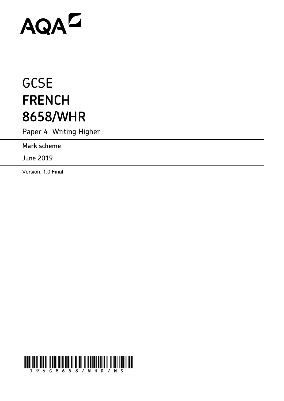# AQAZ

# **GCSE FRENCH 8658/WHR**

Paper 4 Writing Higher

**Mark scheme**

June 2019

Version: 1.0 Final

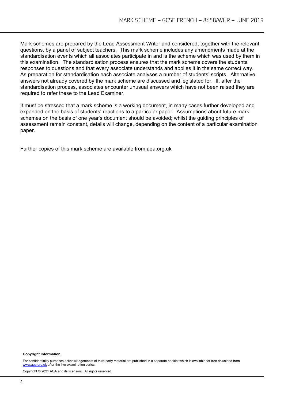Mark schemes are prepared by the Lead Assessment Writer and considered, together with the relevant questions, by a panel of subject teachers. This mark scheme includes any amendments made at the standardisation events which all associates participate in and is the scheme which was used by them in this examination. The standardisation process ensures that the mark scheme covers the students' responses to questions and that every associate understands and applies it in the same correct way. As preparation for standardisation each associate analyses a number of students' scripts. Alternative answers not already covered by the mark scheme are discussed and legislated for. If, after the standardisation process, associates encounter unusual answers which have not been raised they are required to refer these to the Lead Examiner.

It must be stressed that a mark scheme is a working document, in many cases further developed and expanded on the basis of students' reactions to a particular paper. Assumptions about future mark schemes on the basis of one year's document should be avoided; whilst the guiding principles of assessment remain constant, details will change, depending on the content of a particular examination paper.

Further copies of this mark scheme are available from aqa.org.uk

#### **Copyright information**

For confidentiality purposes acknowledgements of third-party material are published in a separate booklet which is available for free download from www.aga.org.uk after the live examination series.

Copyright © 2021 AQA and its licensors. All rights reserved.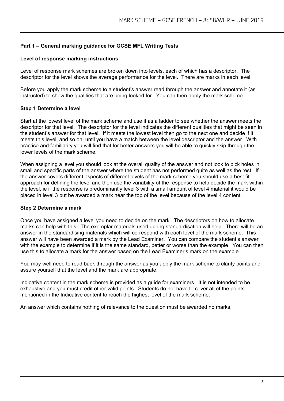# **Part 1 – General marking guidance for GCSE MFL Writing Tests**

#### **Level of response marking instructions**

Level of response mark schemes are broken down into levels, each of which has a descriptor. The descriptor for the level shows the average performance for the level. There are marks in each level.

Before you apply the mark scheme to a student's answer read through the answer and annotate it (as instructed) to show the qualities that are being looked for. You can then apply the mark scheme.

#### **Step 1 Determine a level**

Start at the lowest level of the mark scheme and use it as a ladder to see whether the answer meets the descriptor for that level. The descriptor for the level indicates the different qualities that might be seen in the student's answer for that level. If it meets the lowest level then go to the next one and decide if it meets this level, and so on, until you have a match between the level descriptor and the answer. With practice and familiarity you will find that for better answers you will be able to quickly skip through the lower levels of the mark scheme.

When assigning a level you should look at the overall quality of the answer and not look to pick holes in small and specific parts of the answer where the student has not performed quite as well as the rest. If the answer covers different aspects of different levels of the mark scheme you should use a best fit approach for defining the level and then use the variability of the response to help decide the mark within the level, ie if the response is predominantly level 3 with a small amount of level 4 material it would be placed in level 3 but be awarded a mark near the top of the level because of the level 4 content.

#### **Step 2 Determine a mark**

Once you have assigned a level you need to decide on the mark. The descriptors on how to allocate marks can help with this. The exemplar materials used during standardisation will help. There will be an answer in the standardising materials which will correspond with each level of the mark scheme. This answer will have been awarded a mark by the Lead Examiner. You can compare the student's answer with the example to determine if it is the same standard, better or worse than the example. You can then use this to allocate a mark for the answer based on the Lead Examiner's mark on the example.

You may well need to read back through the answer as you apply the mark scheme to clarify points and assure yourself that the level and the mark are appropriate.

Indicative content in the mark scheme is provided as a guide for examiners. It is not intended to be exhaustive and you must credit other valid points. Students do not have to cover all of the points mentioned in the Indicative content to reach the highest level of the mark scheme.

An answer which contains nothing of relevance to the question must be awarded no marks.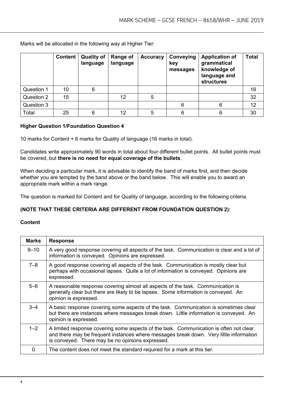Marks will be allocated in the following way at Higher Tier:

|            | <b>Content</b> | <b>Quality of</b><br>language | Range of<br>language | <b>Accuracy</b> | Conveying<br>key<br>messages | <b>Application of</b><br>grammatical<br>knowledge of<br>language and<br><b>structures</b> | <b>Total</b> |
|------------|----------------|-------------------------------|----------------------|-----------------|------------------------------|-------------------------------------------------------------------------------------------|--------------|
| Question 1 | 10             | 6                             |                      |                 |                              |                                                                                           | 16           |
| Question 2 | 15             |                               | 12                   | 5               |                              |                                                                                           | 32           |
| Question 3 |                |                               |                      |                 | 6                            | 6                                                                                         | 12           |
| Total      | 25             | 6                             | 12                   | 5               | 6                            | 6                                                                                         | 30           |

# **Higher Question 1/Foundation Question 4**

10 marks for Content + 6 marks for Quality of language (16 marks in total).

Candidates write approximately 90 words in total about four different bullet points. All bullet points must be covered, but **there is no need for equal coverage of the bullets**.

When deciding a particular mark, it is advisable to identify the band of marks first, and then decide whether you are tempted by the band above or the band below. This will enable you to award an appropriate mark within a mark range.

The question is marked for Content and for Quality of language, according to the following criteria.

# **(NOTE THAT THESE CRITERIA ARE DIFFERENT FROM FOUNDATION QUESTION 2):**

# **Content**

| <b>Marks</b> | <b>Response</b>                                                                                                                                                                                                                      |
|--------------|--------------------------------------------------------------------------------------------------------------------------------------------------------------------------------------------------------------------------------------|
| $9 - 10$     | A very good response covering all aspects of the task. Communication is clear and a lot of<br>information is conveyed. Opinions are expressed.                                                                                       |
| $7 - 8$      | A good response covering all aspects of the task. Communication is mostly clear but<br>perhaps with occasional lapses. Quite a lot of information is conveyed. Opinions are<br>expressed.                                            |
| $5 - 6$      | A reasonable response covering almost all aspects of the task. Communication is<br>generally clear but there are likely to be lapses. Some information is conveyed. An<br>opinion is expressed.                                      |
| $3 - 4$      | A basic response covering some aspects of the task. Communication is sometimes clear<br>but there are instances where messages break down. Little information is conveyed. An<br>opinion is expressed.                               |
| $1 - 2$      | A limited response covering some aspects of the task. Communication is often not clear<br>and there may be frequent instances where messages break down. Very little information<br>is conveyed. There may be no opinions expressed. |
| 0            | The content does not meet the standard required for a mark at this tier.                                                                                                                                                             |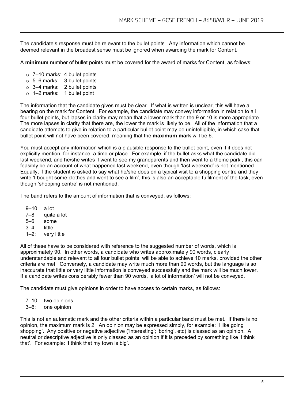The candidate's response must be relevant to the bullet points. Any information which cannot be deemed relevant in the broadest sense must be ignored when awarding the mark for Content.

A **minimum** number of bullet points must be covered for the award of marks for Content, as follows:

- o 7–10 marks: 4 bullet points
- o 5–6 marks: 3 bullet points
- o 3–4 marks: 2 bullet points
- o 1–2 marks: 1 bullet point

The information that the candidate gives must be clear. If what is written is unclear, this will have a bearing on the mark for Content. For example, the candidate may convey information in relation to all four bullet points, but lapses in clarity may mean that a lower mark than the 9 or 10 is more appropriate. The more lapses in clarity that there are, the lower the mark is likely to be. All of the information that a candidate attempts to give in relation to a particular bullet point may be unintelligible, in which case that bullet point will not have been covered, meaning that the **maximum mark** will be 6.

You must accept any information which is a plausible response to the bullet point, even if it does not explicitly mention, for instance, a time or place. For example, if the bullet asks what the candidate did last weekend, and he/she writes 'I went to see my grandparents and then went to a theme park', this can feasibly be an account of what happened last weekend, even though 'last weekend' is not mentioned. Equally, if the student is asked to say what he/she does on a typical visit to a shopping centre and they write 'I bought some clothes and went to see a film', this is also an acceptable fulfilment of the task, even though 'shopping centre' is not mentioned.

The band refers to the amount of information that is conveyed, as follows:

- 9–10: a lot
- 7–8: quite a lot
- 5–6: some
- $3-4$  little
- 1–2: very little

All of these have to be considered with reference to the suggested number of words, which is approximately 90. In other words, a candidate who writes approximately 90 words, clearly understandable and relevant to all four bullet points, will be able to achieve 10 marks, provided the other criteria are met. Conversely, a candidate may write much more than 90 words, but the language is so inaccurate that little or very little information is conveyed successfully and the mark will be much lower. If a candidate writes considerably fewer than 90 words, 'a lot of information' will not be conveyed.

The candidate must give opinions in order to have access to certain marks, as follows:

- 7–10: two opinions
- 3–6: one opinion

This is not an automatic mark and the other criteria within a particular band must be met. If there is no opinion, the maximum mark is 2. An opinion may be expressed simply, for example: 'I like going shopping'. Any positive or negative adjective ('interesting'; 'boring', etc) is classed as an opinion. A neutral or descriptive adjective is only classed as an opinion if it is preceded by something like 'I think that'. For example: 'I think that my town is big'.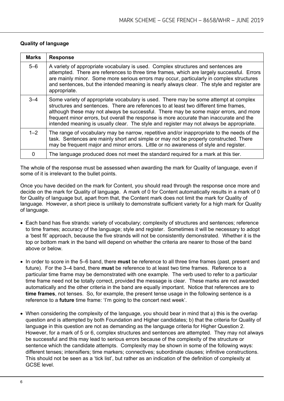# **Quality of language**

| <b>Marks</b> | <b>Response</b>                                                                                                                                                                                                                                                                                                                                                                                                                                                |
|--------------|----------------------------------------------------------------------------------------------------------------------------------------------------------------------------------------------------------------------------------------------------------------------------------------------------------------------------------------------------------------------------------------------------------------------------------------------------------------|
| $5 - 6$      | A variety of appropriate vocabulary is used. Complex structures and sentences are<br>attempted. There are references to three time frames, which are largely successful. Errors<br>are mainly minor. Some more serious errors may occur, particularly in complex structures<br>and sentences, but the intended meaning is nearly always clear. The style and register are<br>appropriate.                                                                      |
| $3 - 4$      | Some variety of appropriate vocabulary is used. There may be some attempt at complex<br>structures and sentences. There are references to at least two different time frames,<br>although these may not always be successful. There may be some major errors, and more<br>frequent minor errors, but overall the response is more accurate than inaccurate and the<br>intended meaning is usually clear. The style and register may not always be appropriate. |
| $1 - 2$      | The range of vocabulary may be narrow, repetitive and/or inappropriate to the needs of the<br>task. Sentences are mainly short and simple or may not be properly constructed. There<br>may be frequent major and minor errors. Little or no awareness of style and register.                                                                                                                                                                                   |
| 0            | The language produced does not meet the standard required for a mark at this tier.                                                                                                                                                                                                                                                                                                                                                                             |

The whole of the response must be assessed when awarding the mark for Quality of language, even if some of it is irrelevant to the bullet points.

Once you have decided on the mark for Content, you should read through the response once more and decide on the mark for Quality of language. A mark of 0 for Content automatically results in a mark of 0 for Quality of language but, apart from that, the Content mark does not limit the mark for Quality of language. However, a short piece is unlikely to demonstrate sufficient variety for a high mark for Quality of language.

- Each band has five strands: variety of vocabulary; complexity of structures and sentences; reference to time frames; accuracy of the language; style and register. Sometimes it will be necessary to adopt a 'best fit' approach, because the five strands will not be consistently demonstrated. Whether it is the top or bottom mark in the band will depend on whether the criteria are nearer to those of the band above or below.
- In order to score in the 5–6 band, there **must** be reference to all three time frames (past, present and future). For the 3–4 band, there **must** be reference to at least two time frames. Reference to a particular time frame may be demonstrated with one example. The verb used to refer to a particular time frame need not be totally correct, provided the message is clear. These marks are not awarded automatically and the other criteria in the band are equally important. Notice that references are to **time frames**, not tenses. So, for example, the present tense usage in the following sentence is a reference to a **future** time frame: 'I'm going to the concert next week'.
- When considering the complexity of the language, you should bear in mind that a) this is the overlap question and is attempted by both Foundation and Higher candidates; b) that the criteria for Quality of language in this question are not as demanding as the language criteria for Higher Question 2. However, for a mark of 5 or 6, complex structures and sentences are attempted. They may not always be successful and this may lead to serious errors because of the complexity of the structure or sentence which the candidate attempts. Complexity may be shown in some of the following ways: different tenses; intensifiers; time markers; connectives; subordinate clauses; infinitive constructions. This should not be seen as a 'tick list', but rather as an indication of the definition of complexity at GCSE level.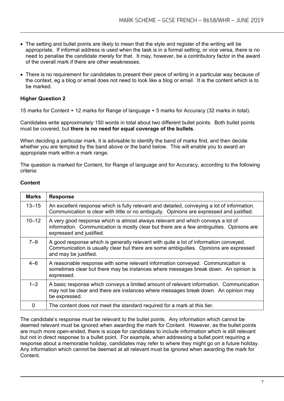- The setting and bullet points are likely to mean that the style and register of the writing will be appropriate. If informal address is used when the task is in a formal setting, or vice versa, there is no need to penalise the candidate merely for that. It may, however, be a contributory factor in the award of the overall mark if there are other weaknesses.
- There is no requirement for candidates to present their piece of writing in a particular way because of the context, eg a blog or email does not need to look like a blog or email. It is the content which is to be marked.

# **Higher Question 2**

15 marks for Content + 12 marks for Range of language + 5 marks for Accuracy (32 marks in total).

Candidates write approximately 150 words in total about two different bullet points. Both bullet points must be covered, but **there is no need for equal coverage of the bullets**.

When deciding a particular mark, it is advisable to identify the band of marks first, and then decide whether you are tempted by the band above or the band below. This will enable you to award an appropriate mark within a mark range.

The question is marked for Content, for Range of language and for Accuracy, according to the following criteria:

#### **Content**

| <b>Marks</b> | <b>Response</b>                                                                                                                                                                                         |
|--------------|---------------------------------------------------------------------------------------------------------------------------------------------------------------------------------------------------------|
| $13 - 15$    | An excellent response which is fully relevant and detailed, conveying a lot of information.<br>Communication is clear with little or no ambiguity. Opinions are expressed and justified.                |
| $10 - 12$    | A very good response which is almost always relevant and which conveys a lot of<br>information. Communication is mostly clear but there are a few ambiguities. Opinions are<br>expressed and justified. |
| $7 - 9$      | A good response which is generally relevant with quite a lot of information conveyed.<br>Communication is usually clear but there are some ambiguities. Opinions are expressed<br>and may be justified. |
| $4 - 6$      | A reasonable response with some relevant information conveyed. Communication is<br>sometimes clear but there may be instances where messages break down. An opinion is<br>expressed.                    |
| $1 - 3$      | A basic response which conveys a limited amount of relevant information. Communication<br>may not be clear and there are instances where messages break down. An opinion may<br>be expressed.           |
| $\Omega$     | The content does not meet the standard required for a mark at this tier.                                                                                                                                |

The candidate's response must be relevant to the bullet points. Any information which cannot be deemed relevant must be ignored when awarding the mark for Content. However, as the bullet points are much more open-ended, there is scope for candidates to include information which is still relevant but not in direct response to a bullet point. For example, when addressing a bullet point requiring a response about a memorable holiday, candidates may refer to where they might go on a future holiday. Any information which cannot be deemed at all relevant must be ignored when awarding the mark for Content.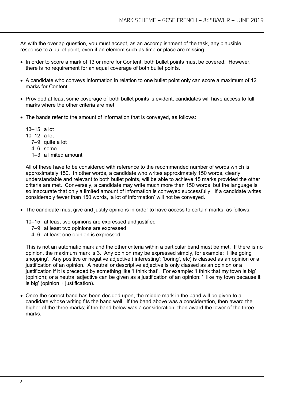As with the overlap question, you must accept, as an accomplishment of the task, any plausible response to a bullet point, even if an element such as time or place are missing.

- In order to score a mark of 13 or more for Content, both bullet points must be covered. However, there is no requirement for an equal coverage of both bullet points.
- A candidate who conveys information in relation to one bullet point only can score a maximum of 12 marks for Content.
- Provided at least some coverage of both bullet points is evident, candidates will have access to full marks where the other criteria are met.
- The bands refer to the amount of information that is conveyed, as follows:

13–15: a lot  $10-12$ : a lot 7–9: quite a lot 4–6: some 1–3: a limited amount

All of these have to be considered with reference to the recommended number of words which is approximately 150. In other words, a candidate who writes approximately 150 words, clearly understandable and relevant to both bullet points, will be able to achieve 15 marks provided the other criteria are met. Conversely, a candidate may write much more than 150 words, but the language is so inaccurate that only a limited amount of information is conveyed successfully. If a candidate writes considerably fewer than 150 words, 'a lot of information' will not be conveyed.

• The candidate must give and justify opinions in order to have access to certain marks, as follows:

10–15: at least two opinions are expressed and justified

- 7–9: at least two opinions are expressed
- 4–6: at least one opinion is expressed

This is not an automatic mark and the other criteria within a particular band must be met. If there is no opinion, the maximum mark is 3. Any opinion may be expressed simply, for example: 'I like going shopping'. Any positive or negative adjective ('interesting'; 'boring', etc) is classed as an opinion or a justification of an opinion. A neutral or descriptive adjective is only classed as an opinion or a justification if it is preceded by something like 'I think that'. For example: 'I think that my town is big' (opinion); or a neutral adjective can be given as a justification of an opinion: 'I like my town because it is big' (opinion + justification).

• Once the correct band has been decided upon, the middle mark in the band will be given to a candidate whose writing fits the band well. If the band above was a consideration, then award the higher of the three marks; if the band below was a consideration, then award the lower of the three marks.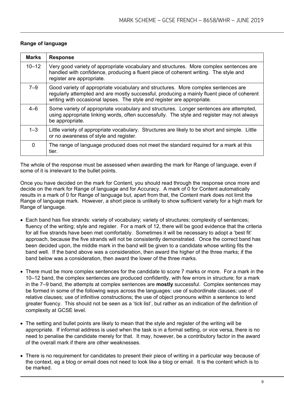# **Range of language**

| <b>Marks</b> | <b>Response</b>                                                                                                                                                                                                                                            |
|--------------|------------------------------------------------------------------------------------------------------------------------------------------------------------------------------------------------------------------------------------------------------------|
| $10 - 12$    | Very good variety of appropriate vocabulary and structures. More complex sentences are<br>handled with confidence, producing a fluent piece of coherent writing. The style and<br>register are appropriate.                                                |
| $7 - 9$      | Good variety of appropriate vocabulary and structures. More complex sentences are<br>regularly attempted and are mostly successful, producing a mainly fluent piece of coherent<br>writing with occasional lapses. The style and register are appropriate. |
| $4 - 6$      | Some variety of appropriate vocabulary and structures. Longer sentences are attempted,<br>using appropriate linking words, often successfully. The style and register may not always<br>be appropriate.                                                    |
| $1 - 3$      | Little variety of appropriate vocabulary. Structures are likely to be short and simple. Little<br>or no awareness of style and register.                                                                                                                   |
| $\Omega$     | The range of language produced does not meet the standard required for a mark at this<br>tier.                                                                                                                                                             |

The whole of the response must be assessed when awarding the mark for Range of language, even if some of it is irrelevant to the bullet points.

Once you have decided on the mark for Content, you should read through the response once more and decide on the mark for Range of language and for Accuracy. A mark of 0 for Content automatically results in a mark of 0 for Range of language but, apart from that, the Content mark does not limit the Range of language mark. However, a short piece is unlikely to show sufficient variety for a high mark for Range of language.

- Each band has five strands: variety of vocabulary; variety of structures; complexity of sentences; fluency of the writing; style and register. For a mark of 12, there will be good evidence that the criteria for all five strands have been met comfortably. Sometimes it will be necessary to adopt a 'best fit' approach, because the five strands will not be consistently demonstrated. Once the correct band has been decided upon, the middle mark in the band will be given to a candidate whose writing fits the band well. If the band above was a consideration, then award the higher of the three marks; if the band below was a consideration, then award the lower of the three marks.
- There must be more complex sentences for the candidate to score 7 marks or more. For a mark in the 10–12 band, the complex sentences are produced confidently, with few errors in structure; for a mark in the 7–9 band, the attempts at complex sentences are **mostly** successful. Complex sentences may be formed in some of the following ways across the languages: use of subordinate clauses; use of relative clauses; use of infinitive constructions; the use of object pronouns within a sentence to lend greater fluency. This should not be seen as a 'tick list', but rather as an indication of the definition of complexity at GCSE level.
- The setting and bullet points are likely to mean that the style and register of the writing will be appropriate. If informal address is used when the task is in a formal setting, or vice versa, there is no need to penalise the candidate merely for that. It may, however, be a contributory factor in the award of the overall mark if there are other weaknesses.
- There is no requirement for candidates to present their piece of writing in a particular way because of the context, eg a blog or email does not need to look like a blog or email. It is the content which is to be marked.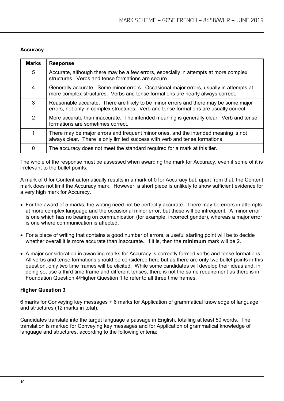# **Accuracy**

| <b>Marks</b> | <b>Response</b>                                                                                                                                                                |  |  |
|--------------|--------------------------------------------------------------------------------------------------------------------------------------------------------------------------------|--|--|
| 5            | Accurate, although there may be a few errors, especially in attempts at more complex<br>structures. Verbs and tense formations are secure.                                     |  |  |
| 4            | Generally accurate. Some minor errors. Occasional major errors, usually in attempts at<br>more complex structures. Verbs and tense formations are nearly always correct.       |  |  |
| 3            | Reasonable accurate. There are likely to be minor errors and there may be some major<br>errors, not only in complex structures. Verb and tense formations are usually correct. |  |  |
| 2            | More accurate than inaccurate. The intended meaning is generally clear. Verb and tense<br>formations are sometimes correct.                                                    |  |  |
| 1            | There may be major errors and frequent minor ones, and the intended meaning is not<br>always clear. There is only limited success with verb and tense formations.              |  |  |
| 0            | The accuracy does not meet the standard required for a mark at this tier.                                                                                                      |  |  |

The whole of the response must be assessed when awarding the mark for Accuracy, even if some of it is irrelevant to the bullet points.

A mark of 0 for Content automatically results in a mark of 0 for Accuracy but, apart from that, the Content mark does not limit the Accuracy mark. However, a short piece is unlikely to show sufficient evidence for a very high mark for Accuracy.

- For the award of 5 marks, the writing need not be perfectly accurate. There may be errors in attempts at more complex language and the occasional minor error, but these will be infrequent. A minor error is one which has no bearing on communication (for example, incorrect gender), whereas a major error is one where communication is affected.
- For a piece of writing that contains a good number of errors, a useful starting point will be to decide whether overall it is more accurate than inaccurate. If it is, then the **minimum** mark will be 2.
- A major consideration in awarding marks for Accuracy is correctly formed verbs and tense formations. All verbs and tense formations should be considered here but as there are only two bullet points in this question, only two time frames will be elicited. While some candidates will develop their ideas and, in doing so, use a third time frame and different tenses, there is not the same requirement as there is in Foundation Question 4/Higher Question 1 to refer to all three time frames.

# **Higher Question 3**

6 marks for Conveying key messages + 6 marks for Application of grammatical knowledge of language and structures (12 marks in total).

Candidates translate into the target language a passage in English, totalling at least 50 words. The translation is marked for Conveying key messages and for Application of grammatical knowledge of language and structures, according to the following criteria: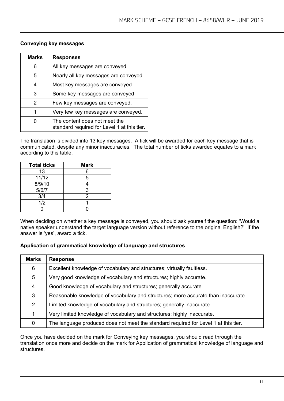# **Conveying key messages**

| <b>Marks</b> | <b>Responses</b>                                                             |  |
|--------------|------------------------------------------------------------------------------|--|
| 6            | All key messages are conveyed.                                               |  |
| 5            | Nearly all key messages are conveyed.                                        |  |
| 4            | Most key messages are conveyed.                                              |  |
| 3            | Some key messages are conveyed.                                              |  |
| 2            | Few key messages are conveyed.                                               |  |
| 1            | Very few key messages are conveyed.                                          |  |
|              | The content does not meet the<br>standard required for Level 1 at this tier. |  |

The translation is divided into 13 key messages. A tick will be awarded for each key message that is communicated, despite any minor inaccuracies. The total number of ticks awarded equates to a mark according to this table.

| <b>Total ticks</b> | <b>Mark</b> |
|--------------------|-------------|
| 13                 | 6           |
| 11/12              | 5           |
| 8/9/10             |             |
| 5/6/7              | 3           |
| 3/4                | 2           |
| 1/2                |             |
|                    |             |

When deciding on whether a key message is conveyed, you should ask yourself the question: 'Would a native speaker understand the target language version without reference to the original English?' If the answer is 'yes', award a tick.

#### **Application of grammatical knowledge of language and structures**

| <b>Marks</b>   | <b>Response</b>                                                                     |
|----------------|-------------------------------------------------------------------------------------|
| 6              | Excellent knowledge of vocabulary and structures; virtually faultless.              |
| 5              | Very good knowledge of vocabulary and structures; highly accurate.                  |
| $\overline{4}$ | Good knowledge of vocabulary and structures; generally accurate.                    |
| 3              | Reasonable knowledge of vocabulary and structures; more accurate than inaccurate.   |
| $\overline{2}$ | Limited knowledge of vocabulary and structures; generally inaccurate.               |
| 1              | Very limited knowledge of vocabulary and structures; highly inaccurate.             |
| 0              | The language produced does not meet the standard required for Level 1 at this tier. |

Once you have decided on the mark for Conveying key messages, you should read through the translation once more and decide on the mark for Application of grammatical knowledge of language and structures.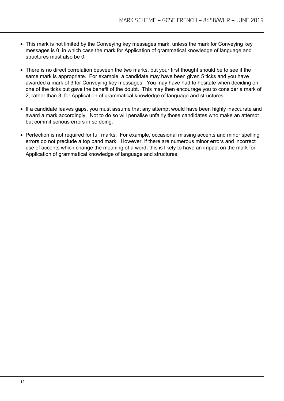- This mark is not limited by the Conveying key messages mark, unless the mark for Conveying key messages is 0, in which case the mark for Application of grammatical knowledge of language and structures must also be 0.
- There is no direct correlation between the two marks, but your first thought should be to see if the same mark is appropriate. For example, a candidate may have been given 5 ticks and you have awarded a mark of 3 for Conveying key messages. You may have had to hesitate when deciding on one of the ticks but gave the benefit of the doubt. This may then encourage you to consider a mark of 2, rather than 3, for Application of grammatical knowledge of language and structures.
- If a candidate leaves gaps, you must assume that any attempt would have been highly inaccurate and award a mark accordingly. Not to do so will penalise unfairly those candidates who make an attempt but commit serious errors in so doing.
- Perfection is not required for full marks. For example, occasional missing accents and minor spelling errors do not preclude a top band mark. However, if there are numerous minor errors and incorrect use of accents which change the meaning of a word, this is likely to have an impact on the mark for Application of grammatical knowledge of language and structures.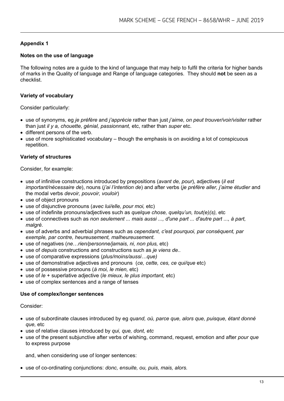# **Appendix 1**

#### **Notes on the use of language**

The following notes are a guide to the kind of language that may help to fulfil the criteria for higher bands of marks in the Quality of language and Range of language categories. They should **not** be seen as a checklist.

#### **Variety of vocabulary**

Consider particularly:

- use of synonyms, eg *je préfère* and *j'apprécie* rather than just *j'aime, on peut trouver/voir/visiter* rather than just *il y a, chouette, génial, passionnant,* etc, rather than *super* etc.
- different persons of the verb.
- use of more sophisticated vocabulary though the emphasis is on avoiding a lot of conspicuous repetition.

#### **Variety of structures**

Consider, for example:

- use of infinitive constructions introduced by prepositions (*avant de, pour*), adjectives (*il est important/nécessaire de*), nouns (*j'ai l'intention de*) and after verbs (*je préfère aller, j'aime étudier* and the modal verbs *devoir, pouvoir, vouloir*)
- use of object pronouns
- use of disjunctive pronouns (*avec lui/elle, pour moi,* etc)
- use of indefinite pronouns/adjectives such as *quelque chose, quelqu'un, tout(e)(s),* etc
- use of connectives such as *non seulement ... mais aussi ..., d'une part ... d'autre part ..., à part, malgré.*
- use of adverbs and adverbial phrases such as *cependant, c'est pourquoi, par conséquent, par exemple, par contre, heureusement, malheureusement.*
- use of negatives (*ne*…*rien/personne/jamais, ni, non plus,* etc)
- use of *depuis* constructions and constructions such as *je viens de..*
- use of comparative expressions (*plus/moins/aussi…que)*
- use of demonstrative adjectives and pronouns (*ce, cette, ces, ce qui/que* etc)
- use of possessive pronouns (*à moi, le mien,* etc)
- use of *le* + superlative adjective (*le mieux, le plus important,* etc)
- use of complex sentences and a range of tenses

#### **Use of complex/longer sentences**

Consider:

- use of subordinate clauses introduced by eg *quand, où, parce que, alors que, puisque, étant donné que,* etc
- use of relative clauses introduced by *qui, que, dont, etc*
- use of the present subjunctive after verbs of wishing, command, request, emotion and after *pour que*  to express purpose

and, when considering use of longer sentences:

• use of co-ordinating conjunctions: *donc, ensuite, ou, puis, mais, alors.*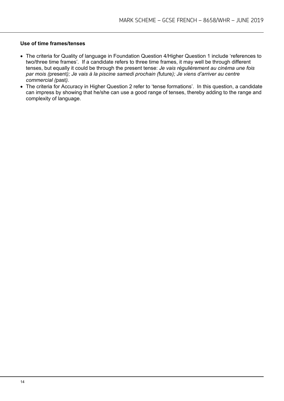#### **Use of time frames/tenses**

- The criteria for Quality of language in Foundation Question 4/Higher Question 1 include 'references to two/three time frames'. If a candidate refers to three time frames, it may well be through different tenses, but equally it could be through the present tense: *Je vais régulièrement au cinéma une fois par mois (*present*); Je vais à la piscine samedi prochain (*future*); Je viens d'arriver au centre commercial (*past*).*
- The criteria for Accuracy in Higher Question 2 refer to 'tense formations'. In this question, a candidate can impress by showing that he/she can use a good range of tenses, thereby adding to the range and complexity of language.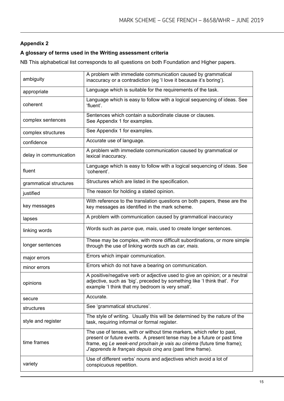# **Appendix 2**

# **A glossary of terms used in the Writing assessment criteria**

NB This alphabetical list corresponds to all questions on both Foundation and Higher papers.

| ambiguity              | A problem with immediate communication caused by grammatical<br>inaccuracy or a contradiction (eg 'I love it because it's boring').                                                                                                                                                   |
|------------------------|---------------------------------------------------------------------------------------------------------------------------------------------------------------------------------------------------------------------------------------------------------------------------------------|
| appropriate            | Language which is suitable for the requirements of the task.                                                                                                                                                                                                                          |
| coherent               | Language which is easy to follow with a logical sequencing of ideas. See<br>'fluent'.                                                                                                                                                                                                 |
| complex sentences      | Sentences which contain a subordinate clause or clauses.<br>See Appendix 1 for examples.                                                                                                                                                                                              |
| complex structures     | See Appendix 1 for examples.                                                                                                                                                                                                                                                          |
| confidence             | Accurate use of language.                                                                                                                                                                                                                                                             |
| delay in communication | A problem with immediate communication caused by grammatical or<br>lexical inaccuracy.                                                                                                                                                                                                |
| fluent                 | Language which is easy to follow with a logical sequencing of ideas. See<br>'coherent'.                                                                                                                                                                                               |
| grammatical structures | Structures which are listed in the specification.                                                                                                                                                                                                                                     |
| justified              | The reason for holding a stated opinion.                                                                                                                                                                                                                                              |
| key messages           | With reference to the translation questions on both papers, these are the<br>key messages as identified in the mark scheme.                                                                                                                                                           |
| lapses                 | A problem with communication caused by grammatical inaccuracy                                                                                                                                                                                                                         |
| linking words          | Words such as parce que, mais, used to create longer sentences.                                                                                                                                                                                                                       |
| longer sentences       | These may be complex, with more difficult subordinations, or more simple<br>through the use of linking words such as car, mais.                                                                                                                                                       |
| major errors           | Errors which impair communication.                                                                                                                                                                                                                                                    |
| minor errors           | Errors which do not have a bearing on communication.                                                                                                                                                                                                                                  |
| opinions               | A positive/negative verb or adjective used to give an opinion; or a neutral<br>adjective, such as 'big', preceded by something like 'I think that'. For<br>example 'I think that my bedroom is very small'.                                                                           |
| secure                 | Accurate.                                                                                                                                                                                                                                                                             |
| structures             | See 'grammatical structures'.                                                                                                                                                                                                                                                         |
| style and register     | The style of writing. Usually this will be determined by the nature of the<br>task, requiring informal or formal register.                                                                                                                                                            |
| time frames            | The use of tenses, with or without time markers, which refer to past,<br>present or future events. A present tense may be a future or past time<br>frame, eg Le week-end prochain je vais au cinéma (future time frame);<br>J'apprends le français depuis cinq ans (past time frame). |
| variety                | Use of different verbs' nouns and adjectives which avoid a lot of<br>conspicuous repetition.                                                                                                                                                                                          |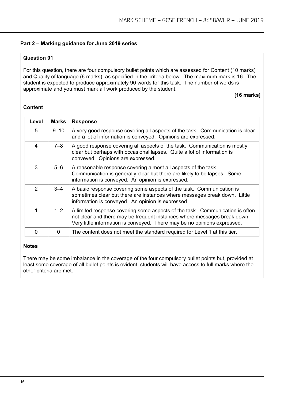#### **Part 2 – Marking guidance for June 2019 series**

#### **Question 01**

For this question, there are four compulsory bullet points which are assessed for Content (10 marks) and Quality of language (6 marks), as specified in the criteria below. The maximum mark is 16. The student is expected to produce approximately 90 words for this task. The number of words is approximate and you must mark all work produced by the student.

**[16 marks]**

#### **Content**

| Level         | <b>Marks</b> | <b>Response</b>                                                                                                                                                                                                                      |
|---------------|--------------|--------------------------------------------------------------------------------------------------------------------------------------------------------------------------------------------------------------------------------------|
| 5             | $9 - 10$     | A very good response covering all aspects of the task. Communication is clear<br>and a lot of information is conveyed. Opinions are expressed.                                                                                       |
| 4             | $7 - 8$      | A good response covering all aspects of the task. Communication is mostly<br>clear but perhaps with occasional lapses. Quite a lot of information is<br>conveyed. Opinions are expressed.                                            |
| 3             | $5 - 6$      | A reasonable response covering almost all aspects of the task.<br>Communication is generally clear but there are likely to be lapses. Some<br>information is conveyed. An opinion is expressed.                                      |
| $\mathcal{P}$ | $3 - 4$      | A basic response covering some aspects of the task. Communication is<br>sometimes clear but there are instances where messages break down. Little<br>information is conveyed. An opinion is expressed.                               |
| 1             | $1 - 2$      | A limited response covering some aspects of the task. Communication is often<br>not clear and there may be frequent instances where messages break down.<br>Very little information is conveyed. There may be no opinions expressed. |
| U             | 0            | The content does not meet the standard required for Level 1 at this tier.                                                                                                                                                            |

#### **Notes**

There may be some imbalance in the coverage of the four compulsory bullet points but, provided at least some coverage of all bullet points is evident, students will have access to full marks where the other criteria are met.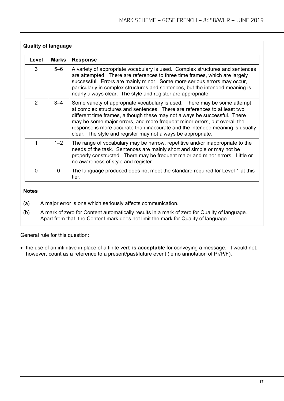| <b>Quality of language</b> |              |                                                                                                                                                                                                                                                                                                                                                                                                                                                                   |
|----------------------------|--------------|-------------------------------------------------------------------------------------------------------------------------------------------------------------------------------------------------------------------------------------------------------------------------------------------------------------------------------------------------------------------------------------------------------------------------------------------------------------------|
| Level                      | <b>Marks</b> | <b>Response</b>                                                                                                                                                                                                                                                                                                                                                                                                                                                   |
| 3                          | $5-6$        | A variety of appropriate vocabulary is used. Complex structures and sentences<br>are attempted. There are references to three time frames, which are largely<br>successful. Errors are mainly minor. Some more serious errors may occur,<br>particularly in complex structures and sentences, but the intended meaning is<br>nearly always clear. The style and register are appropriate.                                                                         |
| $\overline{2}$             | $3 - 4$      | Some variety of appropriate vocabulary is used. There may be some attempt<br>at complex structures and sentences. There are references to at least two<br>different time frames, although these may not always be successful. There<br>may be some major errors, and more frequent minor errors, but overall the<br>response is more accurate than inaccurate and the intended meaning is usually<br>clear. The style and register may not always be appropriate. |
| 1                          | $1 - 2$      | The range of vocabulary may be narrow, repetitive and/or inappropriate to the<br>needs of the task. Sentences are mainly short and simple or may not be<br>properly constructed. There may be frequent major and minor errors. Little or<br>no awareness of style and register.                                                                                                                                                                                   |
| $\Omega$                   | $\mathbf{0}$ | The language produced does not meet the standard required for Level 1 at this<br>tier.                                                                                                                                                                                                                                                                                                                                                                            |

# **Notes**

- (a) A major error is one which seriously affects communication.
- (b) A mark of zero for Content automatically results in a mark of zero for Quality of language. Apart from that, the Content mark does not limit the mark for Quality of language.

General rule for this question:

• the use of an infinitive in place of a finite verb **is acceptable** for conveying a message. It would not, however, count as a reference to a present/past/future event (ie no annotation of Pr/P/F).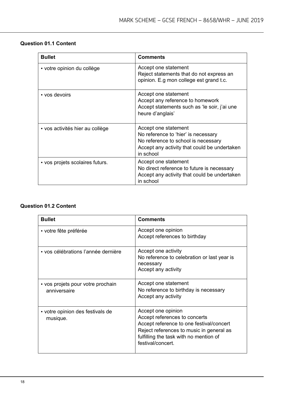| <b>Question 01.1 Content</b> |  |  |
|------------------------------|--|--|
|------------------------------|--|--|

| <b>Bullet</b>                   | <b>Comments</b>                                                                                                                                                 |
|---------------------------------|-----------------------------------------------------------------------------------------------------------------------------------------------------------------|
| • votre opinion du collège      | Accept one statement<br>Reject statements that do not express an<br>opinion. E.g mon college est grand t.c.                                                     |
| • vos devoirs                   | Accept one statement<br>Accept any reference to homework<br>Accept statements such as 'le soir, j'ai une<br>heure d'anglais'                                    |
| • vos activités hier au collège | Accept one statement<br>No reference to 'hier' is necessary<br>No reference to school is necessary<br>Accept any activity that could be undertaken<br>in school |
| • vos projets scolaires futurs. | Accept one statement<br>No direct reference to future is necessary<br>Accept any activity that could be undertaken<br>in school                                 |

#### **Question 01.2 Content**

| <b>Bullet</b>                                     | <b>Comments</b>                                                                                                                                                                                            |
|---------------------------------------------------|------------------------------------------------------------------------------------------------------------------------------------------------------------------------------------------------------------|
| • votre fête préférée                             | Accept one opinion<br>Accept references to birthday                                                                                                                                                        |
| • vos célébrations l'année dernière               | Accept one activity<br>No reference to celebration or last year is<br>necessary<br>Accept any activity                                                                                                     |
| • vos projets pour votre prochain<br>anniversaire | Accept one statement<br>No reference to birthday is necessary<br>Accept any activity                                                                                                                       |
| • votre opinion des festivals de<br>musique.      | Accept one opinion<br>Accept references to concerts<br>Accept reference to one festival/concert<br>Reject references to music in general as<br>fulfilling the task with no mention of<br>festival/concert. |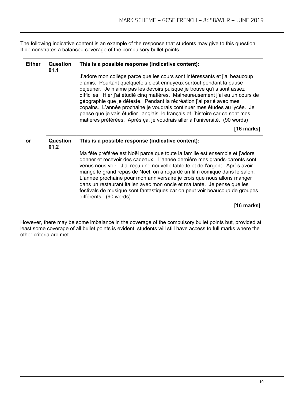The following indicative content is an example of the response that students may give to this question. It demonstrates a balanced coverage of the compulsory bullet points.

| <b>Either</b> | Question<br>01.1 | This is a possible response (indicative content):                                                                                                                                                                                                                                                                                                                                                                                                                                                                                                                                                                                    |
|---------------|------------------|--------------------------------------------------------------------------------------------------------------------------------------------------------------------------------------------------------------------------------------------------------------------------------------------------------------------------------------------------------------------------------------------------------------------------------------------------------------------------------------------------------------------------------------------------------------------------------------------------------------------------------------|
|               |                  | J'adore mon collège parce que les cours sont intéressants et j'ai beaucoup<br>d'amis. Pourtant quelquefois c'est ennuyeux surtout pendant la pause<br>déjeuner. Je n'aime pas les devoirs puisque je trouve qu'ils sont assez<br>difficiles. Hier j'ai étudié cinq matières. Malheureusement j'ai eu un cours de<br>géographie que je déteste. Pendant la récréation j'ai parlé avec mes<br>copains. L'année prochaine je voudrais continuer mes études au lycée. Je<br>pense que je vais étudier l'anglais, le français et l'histoire car ce sont mes<br>matières préférées. Après ça, je voudrais aller à l'université. (90 words) |
|               |                  | $[16$ marks]                                                                                                                                                                                                                                                                                                                                                                                                                                                                                                                                                                                                                         |
| or            | Question<br>01.2 | This is a possible response (indicative content):                                                                                                                                                                                                                                                                                                                                                                                                                                                                                                                                                                                    |
|               |                  | Ma fête préférée est Noël parce que toute la famille est ensemble et j'adore<br>donner et recevoir des cadeaux. L'année dernière mes grands-parents sont<br>venus nous voir. J'ai reçu une nouvelle tablette et de l'argent. Après avoir<br>mangé le grand repas de Noël, on a regardé un film comique dans le salon.<br>L'année prochaine pour mon anniversaire je crois que nous allons manger<br>dans un restaurant italien avec mon oncle et ma tante. Je pense que les<br>festivals de musique sont fantastiques car on peut voir beaucoup de groupes<br>différents. (90 words)                                                 |
|               |                  | $[16$ marks]                                                                                                                                                                                                                                                                                                                                                                                                                                                                                                                                                                                                                         |

However, there may be some imbalance in the coverage of the compulsory bullet points but, provided at least some coverage of all bullet points is evident, students will still have access to full marks where the other criteria are met.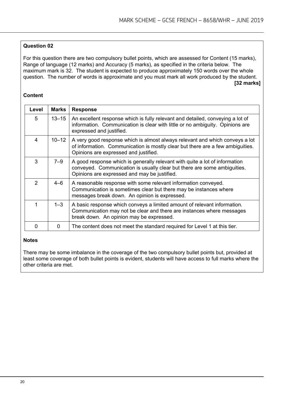# **Question 02**

For this question there are two compulsory bullet points, which are assessed for Content (15 marks), Range of language (12 marks) and Accuracy (5 marks), as specified in the criteria below. The maximum mark is 32. The student is expected to produce approximately 150 words over the whole question. The number of words is approximate and you must mark all work produced by the student. **[32 marks]**

#### **Content**

| Level | <b>Marks</b> | <b>Response</b>                                                                                                                                                                                         |
|-------|--------------|---------------------------------------------------------------------------------------------------------------------------------------------------------------------------------------------------------|
| 5     | $13 - 15$    | An excellent response which is fully relevant and detailed, conveying a lot of<br>information. Communication is clear with little or no ambiguity. Opinions are<br>expressed and justified.             |
| 4     | $10 - 12$    | A very good response which is almost always relevant and which conveys a lot<br>of information. Communication is mostly clear but there are a few ambiguities.<br>Opinions are expressed and justified. |
| 3     | $7 - 9$      | A good response which is generally relevant with quite a lot of information<br>conveyed. Communication is usually clear but there are some ambiguities.<br>Opinions are expressed and may be justified. |
| 2     | $4 - 6$      | A reasonable response with some relevant information conveyed.<br>Communication is sometimes clear but there may be instances where<br>messages break down. An opinion is expressed.                    |
| 1     | $1 - 3$      | A basic response which conveys a limited amount of relevant information.<br>Communication may not be clear and there are instances where messages<br>break down. An opinion may be expressed.           |
| n     | $\Omega$     | The content does not meet the standard required for Level 1 at this tier.                                                                                                                               |

#### **Notes**

There may be some imbalance in the coverage of the two compulsory bullet points but, provided at least some coverage of both bullet points is evident, students will have access to full marks where the other criteria are met.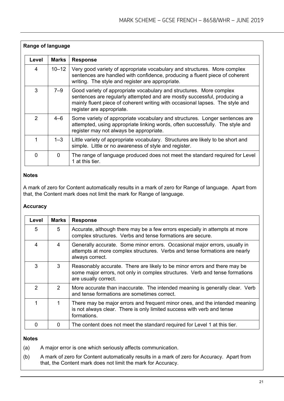|          | <b>Range of language</b> |                                                                                                                                                                                                                                                               |  |
|----------|--------------------------|---------------------------------------------------------------------------------------------------------------------------------------------------------------------------------------------------------------------------------------------------------------|--|
| Level    | <b>Marks</b>             | <b>Response</b>                                                                                                                                                                                                                                               |  |
| 4        | $10 - 12$                | Very good variety of appropriate vocabulary and structures. More complex<br>sentences are handled with confidence, producing a fluent piece of coherent<br>writing. The style and register are appropriate.                                                   |  |
| 3        | 7—9                      | Good variety of appropriate vocabulary and structures. More complex<br>sentences are regularly attempted and are mostly successful, producing a<br>mainly fluent piece of coherent writing with occasional lapses. The style and<br>register are appropriate. |  |
| 2        | $4 - 6$                  | Some variety of appropriate vocabulary and structures. Longer sentences are<br>attempted, using appropriate linking words, often successfully. The style and<br>register may not always be appropriate.                                                       |  |
| 1        | $1 - 3$                  | Little variety of appropriate vocabulary. Structures are likely to be short and<br>simple. Little or no awareness of style and register.                                                                                                                      |  |
| $\Omega$ | 0                        | The range of language produced does not meet the standard required for Level<br>1 at this tier.                                                                                                                                                               |  |

# **Notes**

A mark of zero for Content automatically results in a mark of zero for Range of language. Apart from that, the Content mark does not limit the mark for Range of language.

# **Accuracy**

| Level          | <b>Marks</b>  | <b>Response</b>                                                                                                                                                                   |
|----------------|---------------|-----------------------------------------------------------------------------------------------------------------------------------------------------------------------------------|
| 5              | 5             | Accurate, although there may be a few errors especially in attempts at more<br>complex structures. Verbs and tense formations are secure.                                         |
| 4              | 4             | Generally accurate. Some minor errors. Occasional major errors, usually in<br>attempts at more complex structures. Verbs and tense formations are nearly<br>always correct.       |
| 3              | 3             | Reasonably accurate. There are likely to be minor errors and there may be<br>some major errors, not only in complex structures. Verb and tense formations<br>are usually correct. |
| $\mathfrak{p}$ | $\mathcal{P}$ | More accurate than inaccurate. The intended meaning is generally clear. Verb<br>and tense formations are sometimes correct.                                                       |
| 1              | 1             | There may be major errors and frequent minor ones, and the intended meaning<br>is not always clear. There is only limited success with verb and tense<br>formations.              |
| O              | 0             | The content does not meet the standard required for Level 1 at this tier.                                                                                                         |

# **Notes**

- (a) A major error is one which seriously affects communication.
- (b) A mark of zero for Content automatically results in a mark of zero for Accuracy. Apart from that, the Content mark does not limit the mark for Accuracy.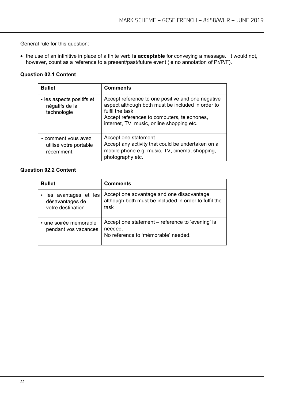General rule for this question:

• the use of an infinitive in place of a finite verb **is acceptable** for conveying a message. It would not, however, count as a reference to a present/past/future event (ie no annotation of Pr/P/F).

### **Question 02.1 Content**

| <b>Bullet</b>                                               | <b>Comments</b>                                                                                                                                                                                                       |
|-------------------------------------------------------------|-----------------------------------------------------------------------------------------------------------------------------------------------------------------------------------------------------------------------|
| • les aspects positifs et<br>négatifs de la<br>technologie  | Accept reference to one positive and one negative<br>aspect although both must be included in order to<br>fulfil the task<br>Accept references to computers, telephones,<br>internet, TV, music, online shopping etc. |
| • comment yous avez<br>utilisé votre portable<br>récemment. | Accept one statement<br>Accept any activity that could be undertaken on a<br>mobile phone e.g. music, TV, cinema, shopping,<br>photography etc.                                                                       |

# **Question 02.2 Content**

| <b>Bullet</b>                                                | <b>Comments</b>                                                                                            |
|--------------------------------------------------------------|------------------------------------------------------------------------------------------------------------|
| les avantages et les<br>désavantages de<br>votre destination | Accept one advantage and one disadvantage<br>although both must be included in order to fulfil the<br>task |
| • une soirée mémorable<br>pendant vos vacances.              | Accept one statement – reference to 'evening' is<br>needed.<br>No reference to 'mémorable' needed.         |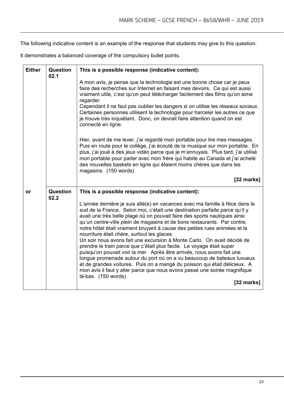The following indicative content is an example of the response that students may give to this question.

It demonstrates a balanced coverage of the compulsory bullet points.

| <b>Either</b> | Question<br>02.1 | This is a possible response (indicative content):                                                                                                                                                                                                                                                                                                                                                                                                                                                                                                                                                                                                                                                                                                                                                                                                                                                                                        |
|---------------|------------------|------------------------------------------------------------------------------------------------------------------------------------------------------------------------------------------------------------------------------------------------------------------------------------------------------------------------------------------------------------------------------------------------------------------------------------------------------------------------------------------------------------------------------------------------------------------------------------------------------------------------------------------------------------------------------------------------------------------------------------------------------------------------------------------------------------------------------------------------------------------------------------------------------------------------------------------|
|               |                  | A mon avis, je pense que la technologie est une bonne chose car je peux<br>faire des recherches sur Internet en faisant mes devoirs. Ce qui est aussi<br>vraiment utile, c'est qu'on peut télécharger facilement des films qu'on aime<br>regarder.                                                                                                                                                                                                                                                                                                                                                                                                                                                                                                                                                                                                                                                                                       |
|               |                  | Cependant il ne faut pas oublier les dangers si on utilise les réseaux sociaux.<br>Certaines personnes utilisent la technologie pour harceler les autres ce que<br>je trouve très inquiétant. Donc, on devrait faire attention quand on est<br>connecté en ligne.                                                                                                                                                                                                                                                                                                                                                                                                                                                                                                                                                                                                                                                                        |
|               |                  | Hier, avant de me lever, j'ai regardé mon portable pour lire mes messages.<br>Puis en route pour le collège, j'ai écouté de la musique sur mon portable. En<br>plus, j'ai joué à des jeux vidéo parce que je m'ennuyais. Plus tard, j'ai utilisé<br>mon portable pour parler avec mon frère qui habite au Canada et j'ai acheté<br>des nouvelles baskets en ligne qui étaient moins chères que dans les<br>magasins. (150 words)                                                                                                                                                                                                                                                                                                                                                                                                                                                                                                         |
|               |                  | $[32$ marks]                                                                                                                                                                                                                                                                                                                                                                                                                                                                                                                                                                                                                                                                                                                                                                                                                                                                                                                             |
| or            | Question<br>02.2 | This is a possible response (indicative content):                                                                                                                                                                                                                                                                                                                                                                                                                                                                                                                                                                                                                                                                                                                                                                                                                                                                                        |
|               |                  | L'année dernière je suis allé(e) en vacances avec ma famille à Nice dans le<br>sud de la France. Selon moi, c'était une destination parfaite parce qu'il y<br>avait une très belle plage où on pouvait faire des sports nautiques ainsi<br>qu'un centre-ville plein de magasins et de bons restaurants. Par contre,<br>notre hôtel était vraiment bruyant à cause des petites rues animées et la<br>nourriture était chère, surtout les glaces.<br>Un soir nous avons fait une excursion à Monte Carlo. On avait décidé de<br>prendre le train parce que c'était plus facile. Le voyage était super<br>puisqu'on pouvait voir la mer. Après être arrivés, nous avons fait une<br>longue promenade autour du port où on a vu beaucoup de bateaux luxueux<br>et de grandes voitures. Puis on a mangé du poisson qui était délicieux. A<br>mon avis il faut y aller parce que nous avons passé une soirée magnifique<br>là-bas. (150 words) |
|               |                  | $[32$ marks]                                                                                                                                                                                                                                                                                                                                                                                                                                                                                                                                                                                                                                                                                                                                                                                                                                                                                                                             |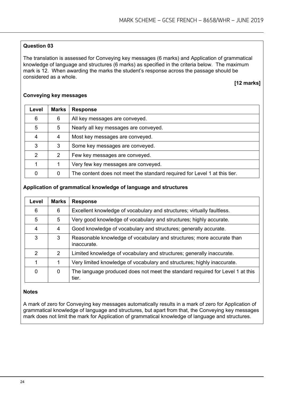# **Question 03**

The translation is assessed for Conveying key messages (6 marks) and Application of grammatical knowledge of language and structures (6 marks) as specified in the criteria below. The maximum mark is 12. When awarding the marks the student's response across the passage should be considered as a whole.

### **[12 marks]**

| Level | <b>Marks</b> | <b>Response</b>                                                           |
|-------|--------------|---------------------------------------------------------------------------|
| 6     | 6            | All key messages are conveyed.                                            |
| 5     | 5            | Nearly all key messages are conveyed.                                     |
| 4     | 4            | Most key messages are conveyed.                                           |
| 3     | 3            | Some key messages are conveyed.                                           |
| 2     | 2            | Few key messages are conveyed.                                            |
|       |              | Very few key messages are conveyed.                                       |
| 0     | 0            | The content does not meet the standard required for Level 1 at this tier. |

#### **Conveying key messages**

#### **Application of grammatical knowledge of language and structures**

| Level          | <b>Marks</b> | <b>Response</b>                                                                        |
|----------------|--------------|----------------------------------------------------------------------------------------|
| 6              | 6            | Excellent knowledge of vocabulary and structures; virtually faultless.                 |
| 5              | 5            | Very good knowledge of vocabulary and structures; highly accurate.                     |
| $\overline{4}$ | 4            | Good knowledge of vocabulary and structures; generally accurate.                       |
| 3              | 3            | Reasonable knowledge of vocabulary and structures; more accurate than<br>inaccurate.   |
| 2              | 2            | Limited knowledge of vocabulary and structures; generally inaccurate.                  |
| 1              | 1            | Very limited knowledge of vocabulary and structures; highly inaccurate.                |
| 0              | 0            | The language produced does not meet the standard required for Level 1 at this<br>tier. |

#### **Notes**

A mark of zero for Conveying key messages automatically results in a mark of zero for Application of grammatical knowledge of language and structures, but apart from that, the Conveying key messages mark does not limit the mark for Application of grammatical knowledge of language and structures.